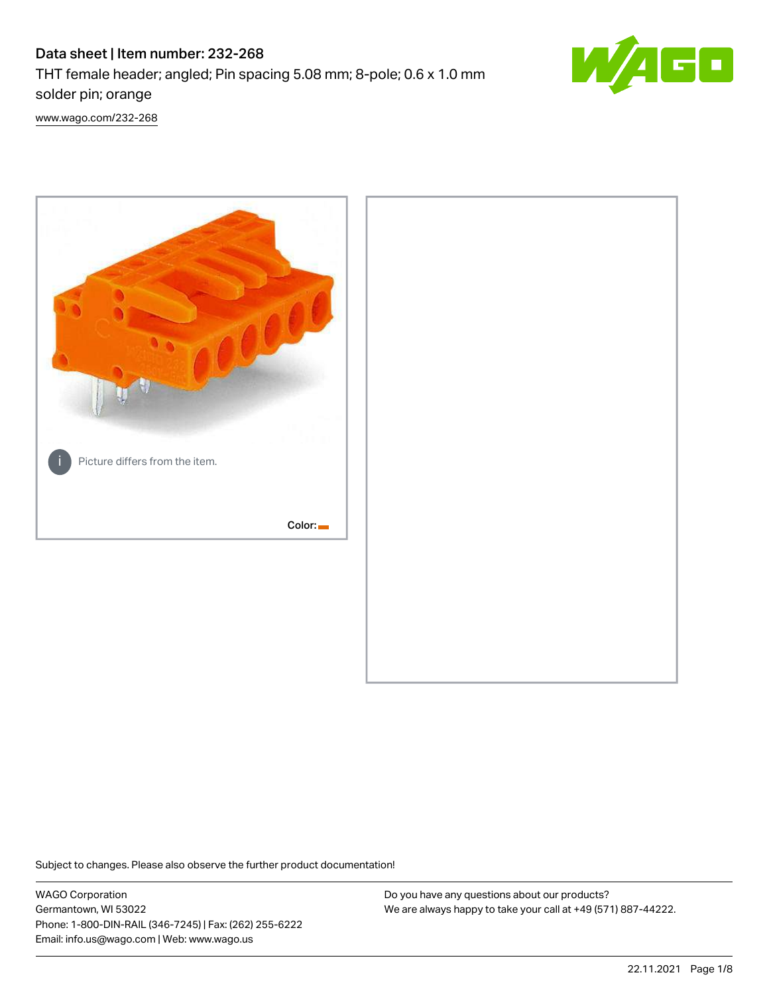# Data sheet | Item number: 232-268

THT female header; angled; Pin spacing 5.08 mm; 8-pole; 0.6 x 1.0 mm solder pin; orange



[www.wago.com/232-268](http://www.wago.com/232-268)



Subject to changes. Please also observe the further product documentation!

WAGO Corporation Germantown, WI 53022 Phone: 1-800-DIN-RAIL (346-7245) | Fax: (262) 255-6222 Email: info.us@wago.com | Web: www.wago.us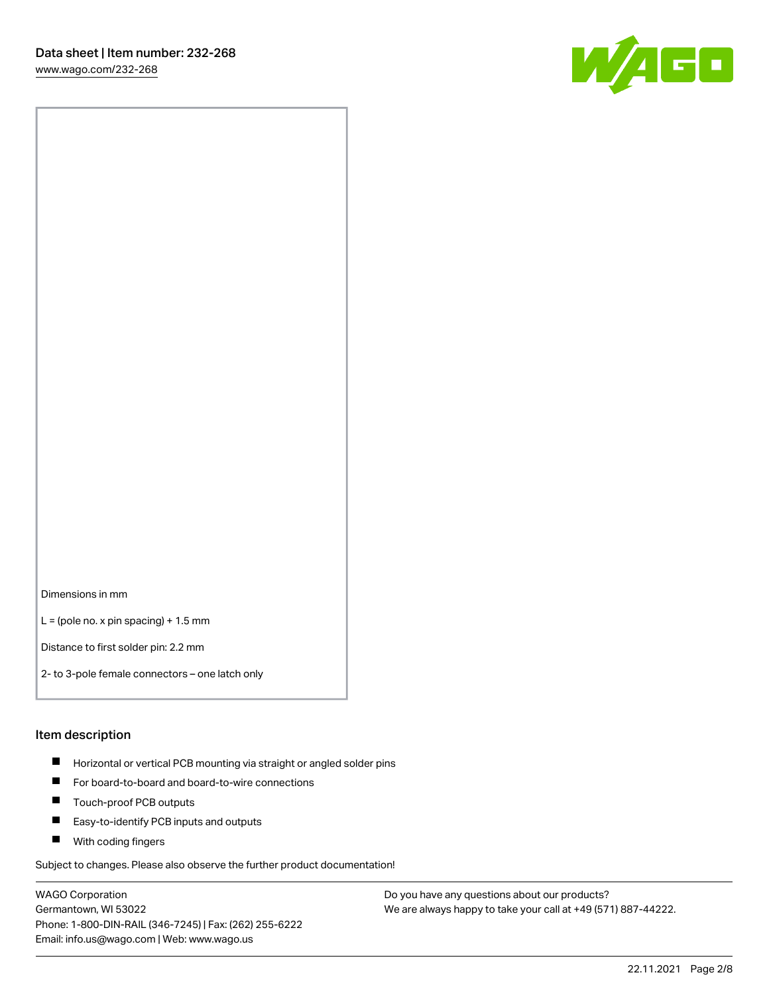

Dimensions in mm

 $L =$  (pole no. x pin spacing) + 1.5 mm

Distance to first solder pin: 2.2 mm

2- to 3-pole female connectors – one latch only

#### Item description

- **Horizontal or vertical PCB mounting via straight or angled solder pins**
- For board-to-board and board-to-wire connections
- $\blacksquare$ Touch-proof PCB outputs
- $\blacksquare$ Easy-to-identify PCB inputs and outputs
- **Now With coding fingers**

Subject to changes. Please also observe the further product documentation!

WAGO Corporation Germantown, WI 53022 Phone: 1-800-DIN-RAIL (346-7245) | Fax: (262) 255-6222 Email: info.us@wago.com | Web: www.wago.us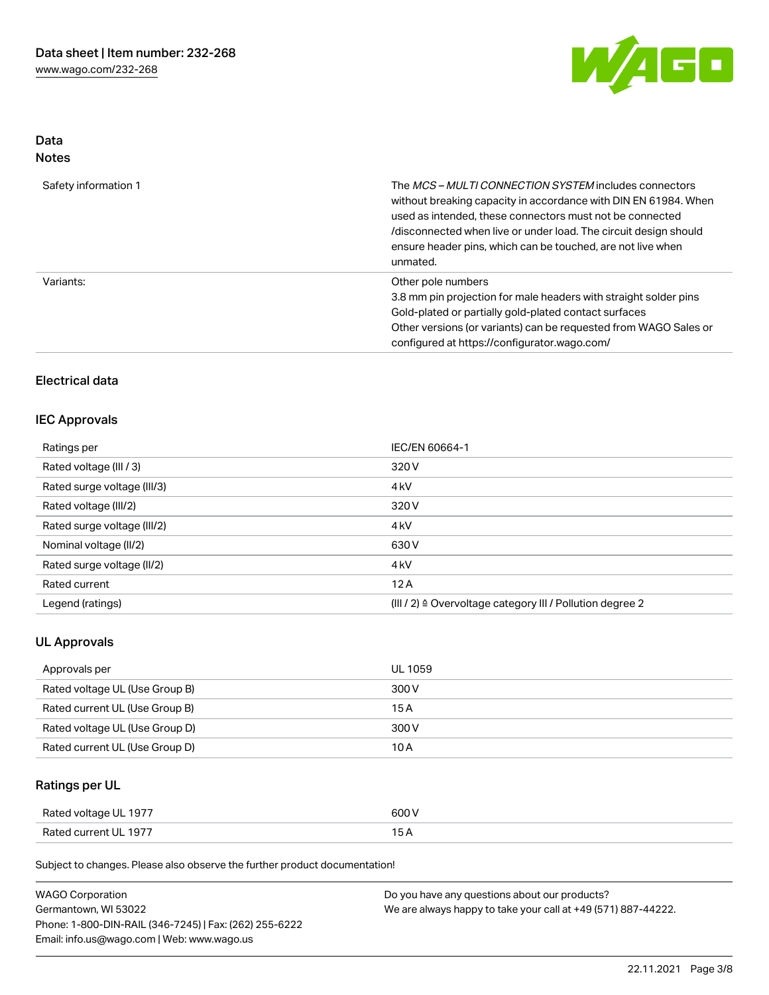

### Data Notes

| Safety information 1 | The MCS-MULTI CONNECTION SYSTEM includes connectors<br>without breaking capacity in accordance with DIN EN 61984. When<br>used as intended, these connectors must not be connected<br>/disconnected when live or under load. The circuit design should<br>ensure header pins, which can be touched, are not live when<br>unmated. |
|----------------------|-----------------------------------------------------------------------------------------------------------------------------------------------------------------------------------------------------------------------------------------------------------------------------------------------------------------------------------|
| Variants:            | Other pole numbers<br>3.8 mm pin projection for male headers with straight solder pins<br>Gold-plated or partially gold-plated contact surfaces<br>Other versions (or variants) can be requested from WAGO Sales or<br>configured at https://configurator.wago.com/                                                               |

## Electrical data

### IEC Approvals

| Ratings per                 | IEC/EN 60664-1                                                       |
|-----------------------------|----------------------------------------------------------------------|
| Rated voltage (III / 3)     | 320 V                                                                |
| Rated surge voltage (III/3) | 4 <sub>k</sub> V                                                     |
| Rated voltage (III/2)       | 320 V                                                                |
| Rated surge voltage (III/2) | 4 <sub>k</sub> V                                                     |
| Nominal voltage (II/2)      | 630 V                                                                |
| Rated surge voltage (II/2)  | 4 <sub>k</sub> V                                                     |
| Rated current               | 12A                                                                  |
| Legend (ratings)            | (III / 2) $\triangleq$ Overvoltage category III / Pollution degree 2 |

## UL Approvals

| Approvals per                  | UL 1059 |
|--------------------------------|---------|
| Rated voltage UL (Use Group B) | 300 V   |
| Rated current UL (Use Group B) | 15 A    |
| Rated voltage UL (Use Group D) | 300 V   |
| Rated current UL (Use Group D) | 10 A    |

## Ratings per UL

| Rated voltage UL 1977 | 600 V |
|-----------------------|-------|
| Rated current UL 1977 |       |

Subject to changes. Please also observe the further product documentation!

| <b>WAGO Corporation</b>                                | Do you have any questions about our products?                 |
|--------------------------------------------------------|---------------------------------------------------------------|
| Germantown, WI 53022                                   | We are always happy to take your call at +49 (571) 887-44222. |
| Phone: 1-800-DIN-RAIL (346-7245)   Fax: (262) 255-6222 |                                                               |
| Email: info.us@wago.com   Web: www.wago.us             |                                                               |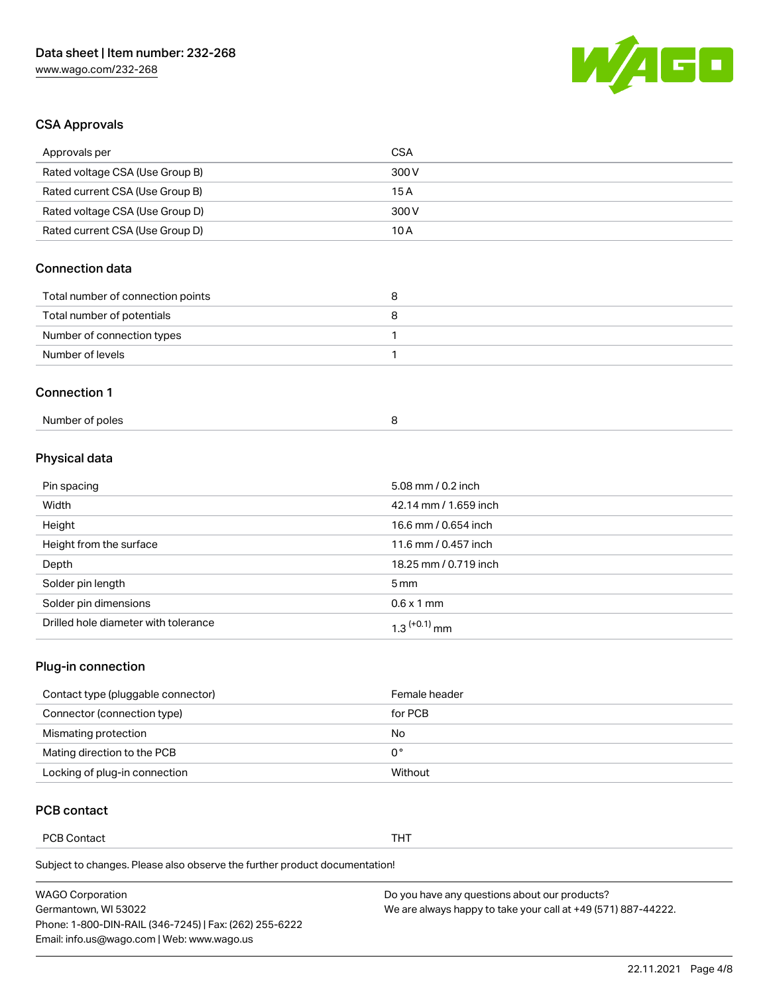

## CSA Approvals

| Approvals per                     | <b>CSA</b> |
|-----------------------------------|------------|
| Rated voltage CSA (Use Group B)   | 300 V      |
| Rated current CSA (Use Group B)   | 15A        |
| Rated voltage CSA (Use Group D)   | 300 V      |
| Rated current CSA (Use Group D)   | 10A        |
| Connection data                   |            |
| Total number of connection points | 8          |
| Total number of potentials        | 8          |
| Number of connection types        | 1          |
|                                   |            |
| Number of levels                  | 1          |
| <b>Connection 1</b>               |            |

## Physical data

| Pin spacing                          | 5.08 mm / 0.2 inch         |
|--------------------------------------|----------------------------|
| Width                                | 42.14 mm / 1.659 inch      |
| Height                               | 16.6 mm / 0.654 inch       |
| Height from the surface              | 11.6 mm / 0.457 inch       |
| Depth                                | 18.25 mm / 0.719 inch      |
| Solder pin length                    | $5 \,\mathrm{mm}$          |
| Solder pin dimensions                | $0.6 \times 1$ mm          |
| Drilled hole diameter with tolerance | $1.3$ <sup>(+0.1)</sup> mm |

## Plug-in connection

| Contact type (pluggable connector) | Female header |
|------------------------------------|---------------|
| Connector (connection type)        | for PCB       |
| Mismating protection               | No            |
| Mating direction to the PCB        | 0°            |
| Locking of plug-in connection      | Without       |

### PCB contact

PCB Contact **THT** 

Subject to changes. Please also observe the further product documentation!

| <b>WAGO Corporation</b>                                | Do you have any questions about our products?                 |
|--------------------------------------------------------|---------------------------------------------------------------|
| Germantown, WI 53022                                   | We are always happy to take your call at +49 (571) 887-44222. |
| Phone: 1-800-DIN-RAIL (346-7245)   Fax: (262) 255-6222 |                                                               |
| Email: info.us@wago.com   Web: www.wago.us             |                                                               |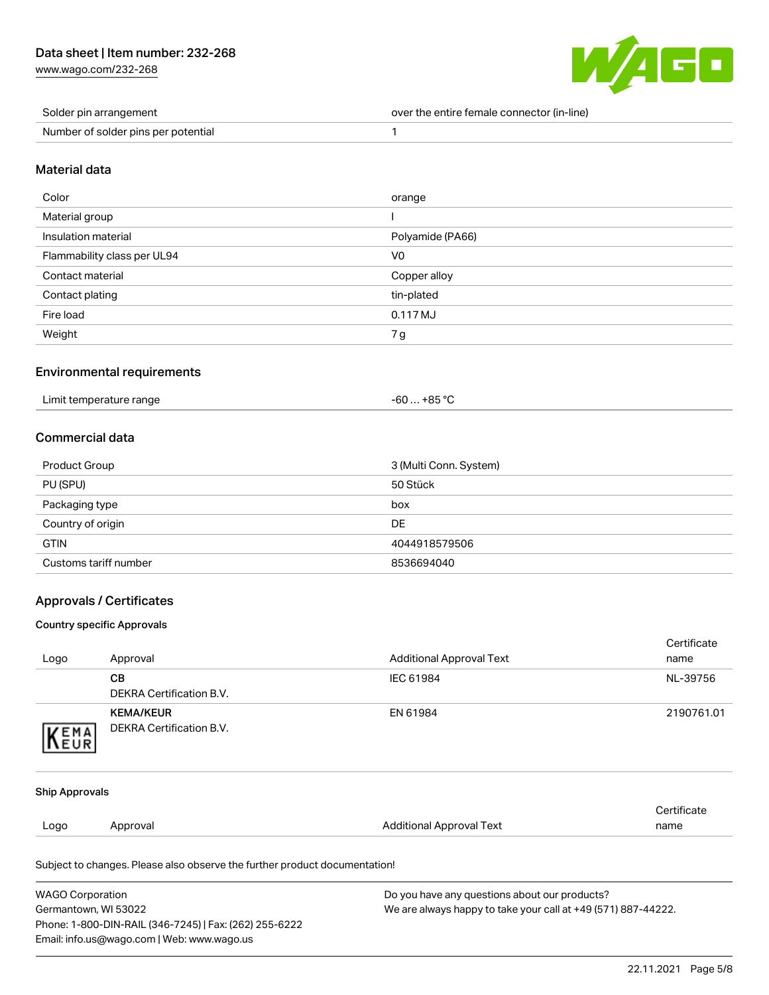[www.wago.com/232-268](http://www.wago.com/232-268)



| Solder pin arrangement              | over the entire female connector (in-line) |
|-------------------------------------|--------------------------------------------|
| Number of solder pins per potential |                                            |

#### Material data

| Color                       | orange              |
|-----------------------------|---------------------|
| Material group              |                     |
| Insulation material         | Polyamide (PA66)    |
| Flammability class per UL94 | V <sub>0</sub>      |
| Contact material            | Copper alloy        |
| Contact plating             | tin-plated          |
| Fire load                   | $0.117 \mathrm{MJ}$ |
| Weight                      | 7g                  |

#### Environmental requirements

| Limit temperature range | $-60+85 °C$ |
|-------------------------|-------------|
|                         |             |

### Commercial data

| Product Group         | 3 (Multi Conn. System) |
|-----------------------|------------------------|
| PU (SPU)              | 50 Stück               |
| Packaging type        | box                    |
| Country of origin     | DE                     |
| <b>GTIN</b>           | 4044918579506          |
| Customs tariff number | 8536694040             |

#### Approvals / Certificates

#### Country specific Approvals

| <b>WAGO Corporation</b> |                                                                            | Do you have any questions about our products? |                     |
|-------------------------|----------------------------------------------------------------------------|-----------------------------------------------|---------------------|
|                         | Subject to changes. Please also observe the further product documentation! |                                               |                     |
| Logo                    | Approval                                                                   | <b>Additional Approval Text</b>               | Certificate<br>name |
| <b>Ship Approvals</b>   |                                                                            |                                               |                     |
| KEMA                    |                                                                            |                                               |                     |
|                         | <b>KEMA/KEUR</b><br><b>DEKRA Certification B.V.</b>                        | EN 61984                                      | 2190761.01          |
|                         | <b>DEKRA Certification B.V.</b>                                            |                                               |                     |
|                         | <b>CB</b>                                                                  | IEC 61984                                     | NL-39756            |
| Logo                    | Approval                                                                   | <b>Additional Approval Text</b>               | Certificate<br>name |

Germantown, WI 53022 Phone: 1-800-DIN-RAIL (346-7245) | Fax: (262) 255-6222 Email: info.us@wago.com | Web: www.wago.us

We are always happy to take your call at +49 (571) 887-44222.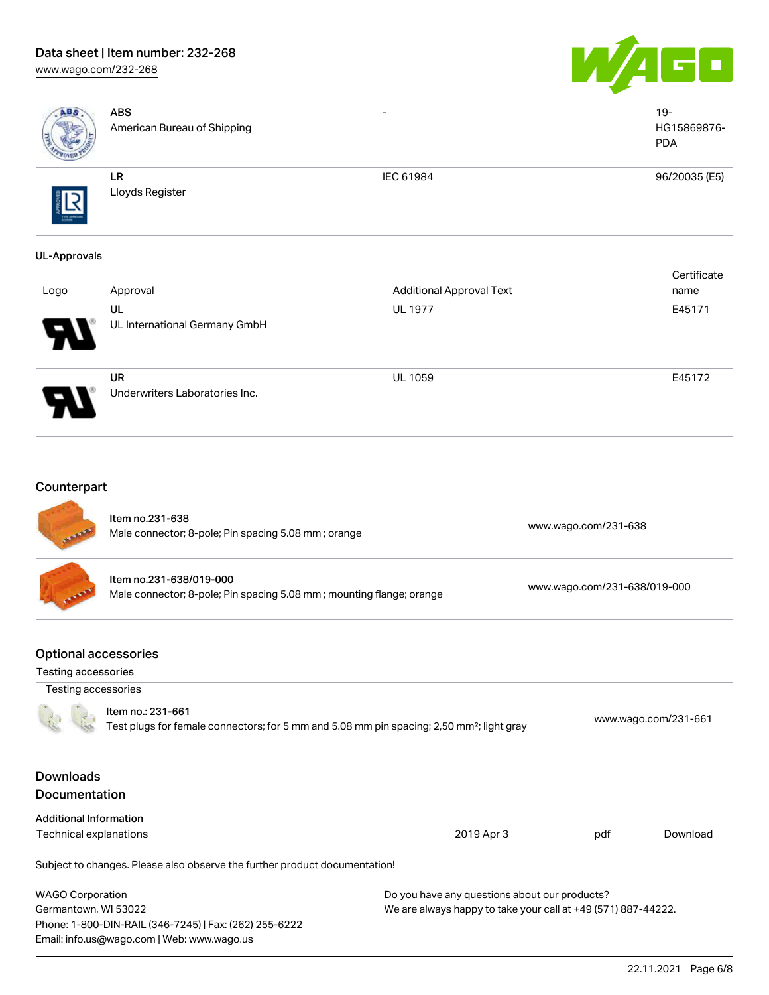### Data sheet | Item number: 232-268 [www.wago.com/232-268](http://www.wago.com/232-268)

Email: info.us@wago.com | Web: www.wago.us





| ABS                                                       | <b>ABS</b><br>American Bureau of Shipping                                                                                  |                                                                                                                | $19 -$<br>HG15869876-<br><b>PDA</b> |  |
|-----------------------------------------------------------|----------------------------------------------------------------------------------------------------------------------------|----------------------------------------------------------------------------------------------------------------|-------------------------------------|--|
|                                                           | LR<br>Lloyds Register                                                                                                      | IEC 61984                                                                                                      | 96/20035 (E5)                       |  |
| <b>UL-Approvals</b>                                       |                                                                                                                            |                                                                                                                | Certificate                         |  |
| Logo                                                      | Approval                                                                                                                   | <b>Additional Approval Text</b>                                                                                | name                                |  |
|                                                           | UL<br>UL International Germany GmbH                                                                                        | <b>UL 1977</b>                                                                                                 | E45171                              |  |
|                                                           | <b>UR</b><br>Underwriters Laboratories Inc.                                                                                | UL 1059                                                                                                        | E45172                              |  |
| Counterpart                                               | Item no.231-638<br>Male connector; 8-pole; Pin spacing 5.08 mm; orange                                                     |                                                                                                                | www.wago.com/231-638                |  |
|                                                           | Item no.231-638/019-000<br>Male connector; 8-pole; Pin spacing 5.08 mm; mounting flange; orange                            |                                                                                                                | www.wago.com/231-638/019-000        |  |
| <b>Optional accessories</b><br><b>Testing accessories</b> |                                                                                                                            |                                                                                                                |                                     |  |
| Testing accessories                                       |                                                                                                                            |                                                                                                                |                                     |  |
|                                                           | Item no.: 231-661<br>Test plugs for female connectors; for 5 mm and 5.08 mm pin spacing; 2,50 mm <sup>2</sup> ; light gray |                                                                                                                | www.wago.com/231-661                |  |
| <b>Downloads</b><br>Documentation                         |                                                                                                                            |                                                                                                                |                                     |  |
| <b>Additional Information</b>                             |                                                                                                                            |                                                                                                                |                                     |  |
| Technical explanations                                    |                                                                                                                            | 2019 Apr 3                                                                                                     | pdf<br>Download                     |  |
|                                                           | Subject to changes. Please also observe the further product documentation!                                                 |                                                                                                                |                                     |  |
| <b>WAGO Corporation</b><br>Germantown, WI 53022           | Phone: 1-800-DIN-RAIL (346-7245)   Fax: (262) 255-6222                                                                     | Do you have any questions about our products?<br>We are always happy to take your call at +49 (571) 887-44222. |                                     |  |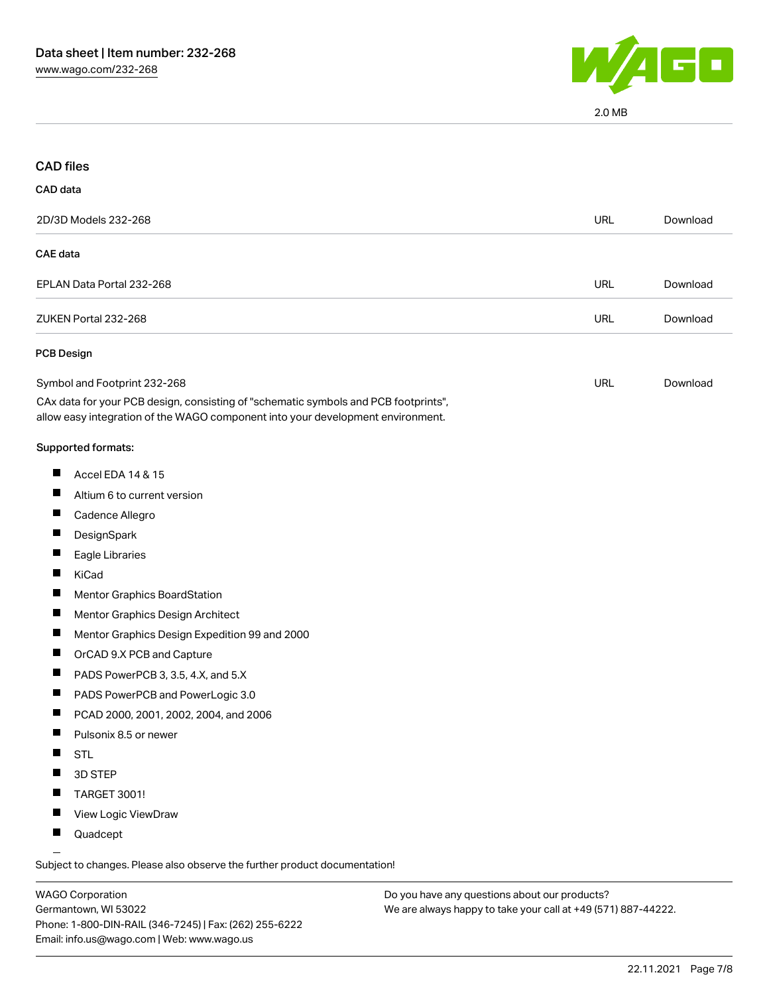

2.0 MB

|                 | <b>CAD</b> files                                                                                                                                                       |            |          |
|-----------------|------------------------------------------------------------------------------------------------------------------------------------------------------------------------|------------|----------|
| <b>CAD</b> data |                                                                                                                                                                        |            |          |
|                 | 2D/3D Models 232-268                                                                                                                                                   | <b>URL</b> | Download |
| <b>CAE</b> data |                                                                                                                                                                        |            |          |
|                 | EPLAN Data Portal 232-268                                                                                                                                              | <b>URL</b> | Download |
|                 | ZUKEN Portal 232-268                                                                                                                                                   | <b>URL</b> | Download |
|                 | PCB Design                                                                                                                                                             |            |          |
|                 | Symbol and Footprint 232-268                                                                                                                                           | <b>URL</b> | Download |
|                 | CAx data for your PCB design, consisting of "schematic symbols and PCB footprints",<br>allow easy integration of the WAGO component into your development environment. |            |          |
|                 | Supported formats:                                                                                                                                                     |            |          |
|                 | Accel EDA 14 & 15                                                                                                                                                      |            |          |
|                 | Altium 6 to current version                                                                                                                                            |            |          |
| П               | Cadence Allegro                                                                                                                                                        |            |          |
|                 | DesignSpark                                                                                                                                                            |            |          |
|                 | Eagle Libraries                                                                                                                                                        |            |          |
| ш               | KiCad                                                                                                                                                                  |            |          |
|                 | <b>Mentor Graphics BoardStation</b>                                                                                                                                    |            |          |
|                 | Mentor Graphics Design Architect                                                                                                                                       |            |          |
| ш               | Mentor Graphics Design Expedition 99 and 2000                                                                                                                          |            |          |
| ш               | OrCAD 9.X PCB and Capture                                                                                                                                              |            |          |
|                 | PADS PowerPCB 3, 3.5, 4.X, and 5.X                                                                                                                                     |            |          |
|                 | PADS PowerPCB and PowerLogic 3.0                                                                                                                                       |            |          |
| a ka            | PCAD 2000, 2001, 2002, 2004, and 2006                                                                                                                                  |            |          |
|                 | Pulsonix 8.5 or newer                                                                                                                                                  |            |          |
| ш               | <b>STL</b>                                                                                                                                                             |            |          |
|                 | 3D STEP                                                                                                                                                                |            |          |
|                 | TARGET 3001!                                                                                                                                                           |            |          |
|                 | View Logic ViewDraw                                                                                                                                                    |            |          |
|                 | Quadcept                                                                                                                                                               |            |          |

WAGO Corporation Germantown, WI 53022 Phone: 1-800-DIN-RAIL (346-7245) | Fax: (262) 255-6222 Email: info.us@wago.com | Web: www.wago.us